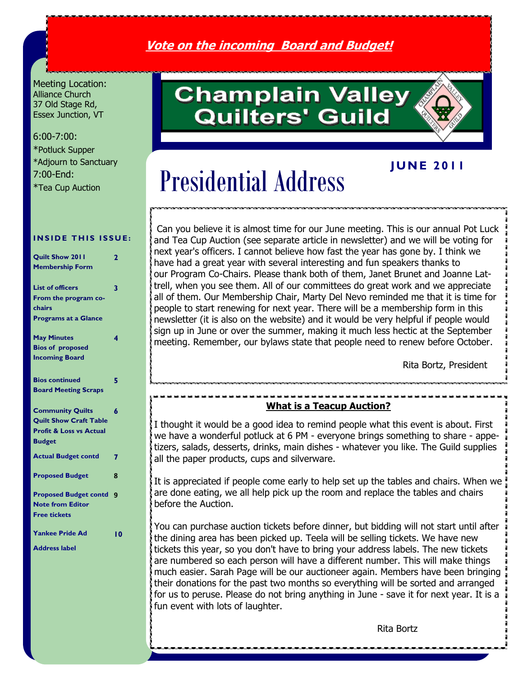## **Vote on the incoming Board and Budget!**

Meeting Location: Alliance Church 37 Old Stage Rd, Essex Junction, VT

#### 6:00-7:00:

\*Potluck Supper \*Adjourn to Sanctuary 7:00-End: \*Tea Cup Auction

#### **INSIDE THIS ISSUE:**

| Quilt Show 2011                    | 2   |
|------------------------------------|-----|
| <b>Membership Form</b>             |     |
|                                    |     |
| <b>List of officers</b>            | 3   |
| From the program co-               |     |
| chairs                             |     |
| <b>Programs at a Glance</b>        |     |
| <b>May Minutes</b>                 | 4   |
| <b>Bios of proposed</b>            |     |
| <b>Incoming Board</b>              |     |
|                                    |     |
| <b>Bios continued</b>              | 5   |
| <b>Board Meeting Scraps</b>        |     |
| <b>Community Quilts</b>            | 6   |
| <b>Quilt Show Craft Table</b>      |     |
| <b>Profit &amp; Loss vs Actual</b> |     |
| <b>Budget</b>                      |     |
|                                    |     |
| <b>Actual Budget contd</b>         | 7   |
| <b>Proposed Budget</b>             | 8   |
|                                    |     |
| <b>Proposed Budget contd</b>       | 9   |
| <b>Note from Editor</b>            |     |
| <b>Free tickets</b>                |     |
| <b>Yankee Pride Ad</b>             | l 0 |
| <b>Address label</b>               |     |
|                                    |     |

# **Champlain Valley Quilters' Guild**

## **J U N E 2 0 1 1**

# Presidential Address

Can you believe it is almost time for our June meeting. This is our annual Pot Luck and Tea Cup Auction (see separate article in newsletter) and we will be voting for next year's officers. I cannot believe how fast the year has gone by. I think we have had a great year with several interesting and fun speakers thanks to our Program Co-Chairs. Please thank both of them, Janet Brunet and Joanne Lattrell, when you see them. All of our committees do great work and we appreciate all of them. Our Membership Chair, Marty Del Nevo reminded me that it is time for people to start renewing for next year. There will be a membership form in this newsletter (it is also on the website) and it would be very helpful if people would sign up in June or over the summer, making it much less hectic at the September meeting. Remember, our bylaws state that people need to renew before October.

Rita Bortz, President

#### **What is a Teacup Auction?**

I thought it would be a good idea to remind people what this event is about. First we have a wonderful potluck at 6 PM - everyone brings something to share - appetizers, salads, desserts, drinks, main dishes - whatever you like. The Guild supplies all the paper products, cups and silverware.

It is appreciated if people come early to help set up the tables and chairs. When we are done eating, we all help pick up the room and replace the tables and chairs before the Auction.

You can purchase auction tickets before dinner, but bidding will not start until after the dining area has been picked up. Teela will be selling tickets. We have new tickets this year, so you don't have to bring your address labels. The new tickets are numbered so each person will have a different number. This will make things much easier. Sarah Page will be our auctioneer again. Members have been bringing their donations for the past two months so everything will be sorted and arranged for us to peruse. Please do not bring anything in June - save it for next year. It is a fun event with lots of laughter.

Rita Bortz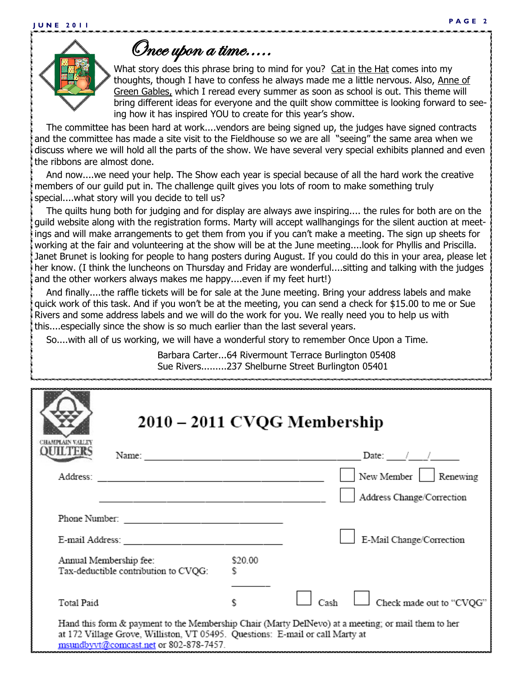

Once upon a time.....

What story does this phrase bring to mind for you? Cat in the Hat comes into my thoughts, though I have to confess he always made me a little nervous. Also, Anne of Green Gables, which I reread every summer as soon as school is out. This theme will bring different ideas for everyone and the quilt show committee is looking forward to seeing how it has inspired YOU to create for this year's show.

 The committee has been hard at work....vendors are being signed up, the judges have signed contracts and the committee has made a site visit to the Fieldhouse so we are all "seeing" the same area when we discuss where we will hold all the parts of the show. We have several very special exhibits planned and even the ribbons are almost done.

 And now....we need your help. The Show each year is special because of all the hard work the creative members of our guild put in. The challenge quilt gives you lots of room to make something truly special....what story will you decide to tell us?

 The quilts hung both for judging and for display are always awe inspiring.... the rules for both are on the guild website along with the registration forms. Marty will accept wallhangings for the silent auction at meetings and will make arrangements to get them from you if you can't make a meeting. The sign up sheets for working at the fair and volunteering at the show will be at the June meeting....look for Phyllis and Priscilla. Janet Brunet is looking for people to hang posters during August. If you could do this in your area, please let her know. (I think the luncheons on Thursday and Friday are wonderful....sitting and talking with the judges and the other workers always makes me happy....even if my feet hurt!)

 And finally....the raffle tickets will be for sale at the June meeting. Bring your address labels and make quick work of this task. And if you won't be at the meeting, you can send a check for \$15.00 to me or Sue Rivers and some address labels and we will do the work for you. We really need you to help us with this....especially since the show is so much earlier than the last several years.

So....with all of us working, we will have a wonderful story to remember Once Upon a Time.

Barbara Carter...64 Rivermount Terrace Burlington 05408 Sue Rivers.........237 Shelburne Street Burlington 05401

| CHAMPLAIN VALLI                                                                                                                                                                                                               | 2010 – 2011 CVQG Membership                                                                                   |              |      |                           |
|-------------------------------------------------------------------------------------------------------------------------------------------------------------------------------------------------------------------------------|---------------------------------------------------------------------------------------------------------------|--------------|------|---------------------------|
| ILTER                                                                                                                                                                                                                         |                                                                                                               |              |      | Date: $/$ /               |
|                                                                                                                                                                                                                               | Address: 1988 - 2002 - 2003 - 2004 - 2005 - 2006 - 2016 - 2017 - 2018 - 2019 - 2019 - 2019 - 2019 - 2019 - 20 |              |      | New Member   Renewing     |
|                                                                                                                                                                                                                               |                                                                                                               |              |      | Address Change/Correction |
|                                                                                                                                                                                                                               |                                                                                                               |              |      |                           |
|                                                                                                                                                                                                                               |                                                                                                               |              |      | E-Mail Change/Correction  |
|                                                                                                                                                                                                                               | Annual Membership fee:<br>Tax-deductible contribution to CVQG:                                                | \$20.00<br>s |      |                           |
| Total Paid                                                                                                                                                                                                                    |                                                                                                               |              | Cash | Check made out to "CVQG"  |
| Hand this form & payment to the Membership Chair (Marty DelNevo) at a meeting; or mail them to her<br>at 172 Village Grove, Williston, VT 05495. Questions: E-mail or call Marty at<br>msundbyvt@comcast.net or 802-878-7457. |                                                                                                               |              |      |                           |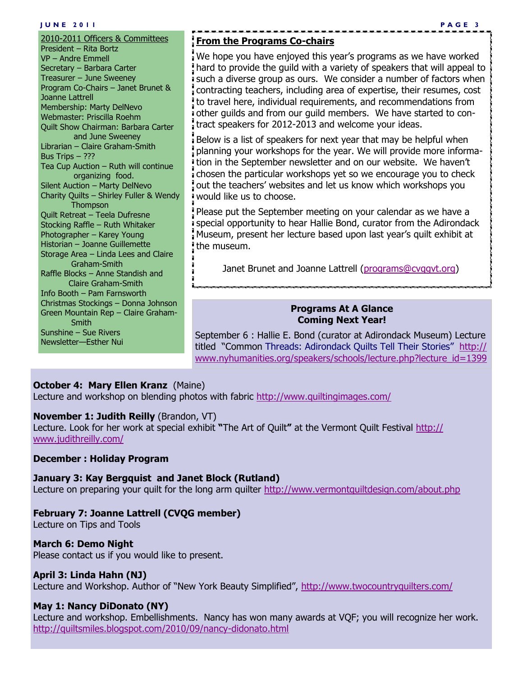#### **J U N E 2 0 1 1 P A G E 3**

2010-2011 Officers & Committees President – Rita Bortz VP – Andre Emmell Secretary – Barbara Carter Treasurer – June Sweeney Program Co-Chairs – Janet Brunet & Joanne Lattrell Membership: Marty DelNevo Webmaster: Priscilla Roehm Quilt Show Chairman: Barbara Carter and June Sweeney Librarian – Claire Graham-Smith Bus Trips – ??? Tea Cup Auction – Ruth will continue organizing food. Silent Auction – Marty DelNevo Charity Quilts – Shirley Fuller & Wendy **Thompson** Quilt Retreat – Teela Dufresne Stocking Raffle – Ruth Whitaker Photographer – Karey Young Historian – Joanne Guillemette Storage Area – Linda Lees and Claire Graham-Smith Raffle Blocks – Anne Standish and Claire Graham-Smith Info Booth – Pam Farnsworth Christmas Stockings – Donna Johnson Green Mountain Rep – Claire Graham- Smith Sunshine – Sue Rivers Newsletter—Esther Nui

#### **From the Programs Co-chairs**

We hope you have enjoyed this year's programs as we have worked hard to provide the guild with a variety of speakers that will appeal to such a diverse group as ours. We consider a number of factors when contracting teachers, including area of expertise, their resumes, cost to travel here, individual requirements, and recommendations from other guilds and from our guild members. We have started to contract speakers for 2012-2013 and welcome your ideas.

Below is a list of speakers for next year that may be helpful when planning your workshops for the year. We will provide more information in the September newsletter and on our website. We haven't chosen the particular workshops yet so we encourage you to check out the teachers' websites and let us know which workshops you would like us to choose.

Please put the September meeting on your calendar as we have a special opportunity to hear Hallie Bond, curator from the Adirondack Museum, present her lecture based upon last year's quilt exhibit at the museum.

Janet Brunet and Joanne Lattrell (programs@cvqqvt.org)

#### **Programs At A Glance Coming Next Year!**

September 6 : Hallie E. Bond (curator at Adirondack Museum) Lecture titled "Common Threads: Adirondack Quilts Tell Their Stories" [http://](http://www.nyhumanities.org/speakers/schools/lecture.php?lecture_id=1399) [www.nyhumanities.org/speakers/schools/lecture.php?lecture\\_id=1399](http://www.nyhumanities.org/speakers/schools/lecture.php?lecture_id=1399)

#### **October 4: Mary Ellen Kranz** (Maine)

Lecture and workshop on blending photos with fabric <http://www.quiltingimages.com/>

#### **November 1: Judith Reilly** (Brandon, VT)

Lecture. Look for her work at special exhibit **"**The Art of Quilt**"** at the Vermont Quilt Festival [http://](http://www.judithreilly.com/) [www.judithreilly.com/](http://www.judithreilly.com/)

#### **December : Holiday Program**

#### **January 3: Kay Bergquist and Janet Block (Rutland)**

Lecture on preparing your quilt for the long arm quilter <http://www.vermontquiltdesign.com/about.php>

#### **February 7: Joanne Lattrell (CVQG member)**

Lecture on Tips and Tools

#### **March 6: Demo Night**

Please contact us if you would like to present.

#### **April 3: Linda Hahn (NJ)**

Lecture and Workshop. Author of "New York Beauty Simplified", <http://www.twocountryquilters.com/>

#### **May 1: Nancy DiDonato (NY)**

Lecture and workshop. Embellishments. Nancy has won many awards at VQF; you will recognize her work. <http://quiltsmiles.blogspot.com/2010/09/nancy-didonato.html>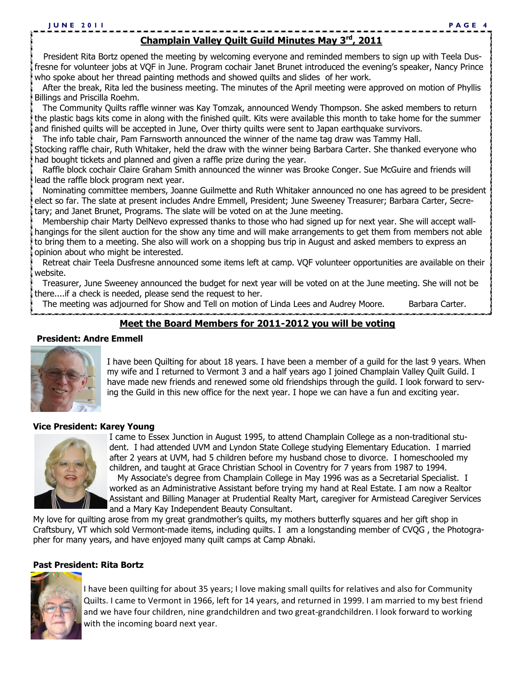### **Champlain Valley Quilt Guild Minutes May 3rd, 2011**

 President Rita Bortz opened the meeting by welcoming everyone and reminded members to sign up with Teela Dusfresne for volunteer jobs at VQF in June. Program cochair Janet Brunet introduced the evening's speaker, Nancy Prince who spoke about her thread painting methods and showed quilts and slides of her work.

 After the break, Rita led the business meeting. The minutes of the April meeting were approved on motion of Phyllis Billings and Priscilla Roehm.

 The Community Quilts raffle winner was Kay Tomzak, announced Wendy Thompson. She asked members to return the plastic bags kits come in along with the finished quilt. Kits were available this month to take home for the summer and finished quilts will be accepted in June, Over thirty quilts were sent to Japan earthquake survivors.

The info table chair, Pam Farnsworth announced the winner of the name tag draw was Tammy Hall.

Stocking raffle chair, Ruth Whitaker, held the draw with the winner being Barbara Carter. She thanked everyone who had bought tickets and planned and given a raffle prize during the year.

 Raffle block cochair Claire Graham Smith announced the winner was Brooke Conger. Sue McGuire and friends will lead the raffle block program next year.

 Nominating committee members, Joanne Guilmette and Ruth Whitaker announced no one has agreed to be president elect so far. The slate at present includes Andre Emmell, President; June Sweeney Treasurer; Barbara Carter, Secretary; and Janet Brunet, Programs. The slate will be voted on at the June meeting.

 Membership chair Marty DelNevo expressed thanks to those who had signed up for next year. She will accept wallhangings for the silent auction for the show any time and will make arrangements to get them from members not able to bring them to a meeting. She also will work on a shopping bus trip in August and asked members to express an opinion about who might be interested.

 Retreat chair Teela Dusfresne announced some items left at camp. VQF volunteer opportunities are available on their website.

 Treasurer, June Sweeney announced the budget for next year will be voted on at the June meeting. She will not be there....if a check is needed, please send the request to her.

The meeting was adjourned for Show and Tell on motion of Linda Lees and Audrey Moore. Barbara Carter.

#### **Meet the Board Members for 2011-2012 you will be voting**

#### **President: Andre Emmell**



I have been Quilting for about 18 years. I have been a member of a guild for the last 9 years. When my wife and I returned to Vermont 3 and a half years ago I joined Champlain Valley Quilt Guild. I have made new friends and renewed some old friendships through the guild. I look forward to serving the Guild in this new office for the next year. I hope we can have a fun and exciting year.

#### **Vice President: Karey Young**



I came to Essex Junction in August 1995, to attend Champlain College as a non-traditional student. I had attended UVM and Lyndon State College studying Elementary Education. I married after 2 years at UVM, had 5 children before my husband chose to divorce. I homeschooled my children, and taught at Grace Christian School in Coventry for 7 years from 1987 to 1994. My Associate's degree from Champlain College in May 1996 was as a Secretarial Specialist. I worked as an Administrative Assistant before trying my hand at Real Estate. I am now a Realtor Assistant and Billing Manager at Prudential Realty Mart, caregiver for Armistead Caregiver Services and a Mary Kay Independent Beauty Consultant.

My love for quilting arose from my great grandmother's quilts, my mothers butterfly squares and her gift shop in Craftsbury, VT which sold Vermont-made items, including quilts. I am a longstanding member of CVQG , the Photographer for many years, and have enjoyed many quilt camps at Camp Abnaki.

#### **Past President: Rita Bortz**



I have been quilting for about 35 years; I love making small quilts for relatives and also for Community Quilts. I came to Vermont in 1966, left for 14 years, and returned in 1999. I am married to my best friend and we have four children, nine grandchildren and two great-grandchildren. I look forward to working with the incoming board next year.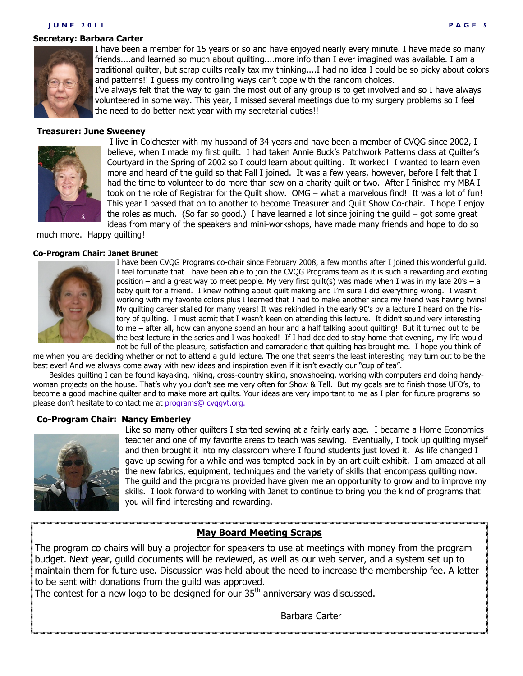#### **J U N E 2 0 1 1 P A G E 5**

#### **Secretary: Barbara Carter**



I have been a member for 15 years or so and have enjoyed nearly every minute. I have made so many friends....and learned so much about quilting....more info than I ever imagined was available. I am a traditional quilter, but scrap quilts really tax my thinking....I had no idea I could be so picky about colors and patterns!! I guess my controlling ways can't cope with the random choices.

I've always felt that the way to gain the most out of any group is to get involved and so I have always volunteered in some way. This year, I missed several meetings due to my surgery problems so I feel the need to do better next year with my secretarial duties!!

#### **Treasurer: June Sweeney**



I live in Colchester with my husband of 34 years and have been a member of CVQG since 2002, I believe, when I made my first quilt. I had taken Annie Buck's Patchwork Patterns class at Quilter's Courtyard in the Spring of 2002 so I could learn about quilting. It worked! I wanted to learn even more and heard of the guild so that Fall I joined. It was a few years, however, before I felt that I had the time to volunteer to do more than sew on a charity quilt or two. After I finished my MBA I took on the role of Registrar for the Quilt show. OMG – what a marvelous find! It was a lot of fun! This year I passed that on to another to become Treasurer and Quilt Show Co-chair. I hope I enjoy the roles as much. (So far so good.) I have learned a lot since joining the guild – got some great ideas from many of the speakers and mini-workshops, have made many friends and hope to do so

much more. Happy quilting!

#### **Co-Program Chair: Janet Brunet**



I have been CVQG Programs co-chair since February 2008, a few months after I joined this wonderful guild. I feel fortunate that I have been able to join the CVQG Programs team as it is such a rewarding and exciting position – and a great way to meet people. My very first quilt(s) was made when I was in my late 20's – a baby quilt for a friend. I knew nothing about quilt making and I'm sure I did everything wrong. I wasn't working with my favorite colors plus I learned that I had to make another since my friend was having twins! My quilting career stalled for many years! It was rekindled in the early 90's by a lecture I heard on the history of quilting. I must admit that I wasn't keen on attending this lecture. It didn't sound very interesting to me – after all, how can anyone spend an hour and a half talking about quilting! But it turned out to be the best lecture in the series and I was hooked! If I had decided to stay home that evening, my life would not be full of the pleasure, satisfaction and camaraderie that quilting has brought me. I hope you think of

me when you are deciding whether or not to attend a guild lecture. The one that seems the least interesting may turn out to be the best ever! And we always come away with new ideas and inspiration even if it isn't exactly our "cup of tea".

Besides quilting I can be found kayaking, hiking, cross-country skiing, snowshoeing, working with computers and doing handywoman projects on the house. That's why you don't see me very often for Show & Tell. But my goals are to finish those UFO's, to become a good machine quilter and to make more art quilts. Your ideas are very important to me as I plan for future programs so please don't hesitate to contact me at programs@ cvqgvt.org.

#### **Co-Program Chair: Nancy Emberley**



Like so many other quilters I started sewing at a fairly early age. I became a Home Economics teacher and one of my favorite areas to teach was sewing. Eventually, I took up quilting myself and then brought it into my classroom where I found students just loved it. As life changed I gave up sewing for a while and was tempted back in by an art quilt exhibit. I am amazed at all the new fabrics, equipment, techniques and the variety of skills that encompass quilting now. The guild and the programs provided have given me an opportunity to grow and to improve my skills. I look forward to working with Janet to continue to bring you the kind of programs that you will find interesting and rewarding.

#### **May Board Meeting Scraps**

The program co chairs will buy a projector for speakers to use at meetings with money from the program budget. Next year, guild documents will be reviewed, as well as our web server, and a system set up to maintain them for future use. Discussion was held about the need to increase the membership fee. A letter to be sent with donations from the guild was approved.

The contest for a new logo to be designed for our  $35<sup>th</sup>$  anniversary was discussed.

Barbara Carter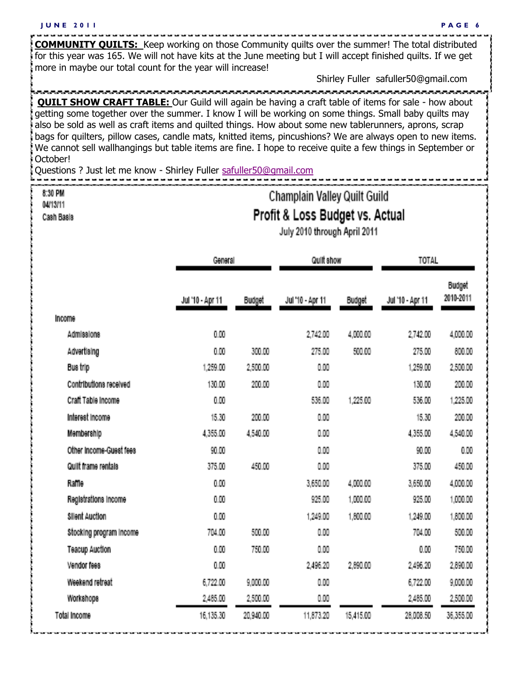**COMMUNITY QUILTS:** Keep working on those Community quilts over the summer! The total distributed for this year was 165. We will not have kits at the June meeting but I will accept finished quilts. If we get

more in maybe our total count for the year will increase!

Shirley Fuller safuller50@gmail.com

**QUILT SHOW CRAFT TABLE:** Our Guild will again be having a craft table of items for sale - how about getting some together over the summer. I know I will be working on some things. Small baby quilts may also be sold as well as craft items and quilted things. How about some new tablerunners, aprons, scrap bags for quilters, pillow cases, candle mats, knitted items, pincushions? We are always open to new items. We cannot sell wallhangings but table items are fine. I hope to receive quite a few things in September or October!

Questions ? Just let me know - Shirley Fuller [safuller50@gmail.com](mailto:safuller50@gmail.com)

### 8:30 PM 04/13/11

Cash Basis

# Champlain Valley Quilt Guild Profit & Loss Budget vs. Actual

July 2010 through April 2011

|                         |                  | General       |                  | Quilt show    |                  | <b>TOTAL</b>               |  |
|-------------------------|------------------|---------------|------------------|---------------|------------------|----------------------------|--|
|                         | Jul '10 - Apr 11 | <b>Budget</b> | Jul "10 - Apr 11 | <b>Budget</b> | Jul '10 - Apr 11 | <b>Budget</b><br>2010-2011 |  |
| <b>Income</b>           |                  |               |                  |               |                  |                            |  |
| Admissions              | 0.00             |               | 2,742.00         | 4,000.00      | 2,742.00         | 4,000.00                   |  |
| Advertising             | 0.00             | 300.00        | 275.00           | 500.00        | 275.00           | 800.00                     |  |
| Bus trip                | 1,259.00         | 2,500.00      | 0.00             |               | 1,259.00         | 2,500.00                   |  |
| Contributions received  | 130.00           | 200.00        | 0.00             |               | 130.00           | 200.00                     |  |
| Craft Table Income      | 0.00             |               | 536.00           | 1,225.00      | 536.00           | 1,225.00                   |  |
| Interest Income         | 15.30            | 200.00        | 0.00             |               | 15.30            | 200.00                     |  |
| Membership              | 4,355.00         | 4,540.00      | 0.00             |               | 4,355.00         | 4,540.00                   |  |
| Other Income-Guest fees | 90.00            |               | 0.00             |               | 90.00            | 0.00                       |  |
| Quilt frame rentals     | 375.00           | 450.00        | 0.00             |               | 375.00           | 450.00                     |  |
| Raffle                  | 0.00             |               | 3,650.00         | 4,000.00      | 3,650.00         | 4,000.00                   |  |
| Registrations income    | 0.00             |               | 925.00           | 1,000.00      | 925.00           | 1,000.00                   |  |
| <b>Silent Auction</b>   | 0.00             |               | 1.249.00         | 1,800.00      | 1,249.00         | 1,800.00                   |  |
| Stocking program income | 704.00           | 500.00        | 0.00             |               | 704.00           | 500.00                     |  |
| <b>Teacup Auction</b>   | 0.00             | 750.00        | 0.00             |               | 0.00             | 750.00                     |  |
| Vendor fees             | 0.00             |               | 2,496.20         | 2,690.00      | 2,496.20         | 2,890.00                   |  |
| Weekend retreat         | 6,722.00         | 9,000.00      | 0.00             |               | 6,722.00         | 9,000.00                   |  |
| Workshops               | 2,465.00         | 2,500.00      | 0.00             |               | 2,485.00         | 2,500.00                   |  |
| <b>Total Income</b>     | 16,135.30        | 20,940.00     | 11,873.20        | 15,415,00     | 28,008.50        | 36,355.00                  |  |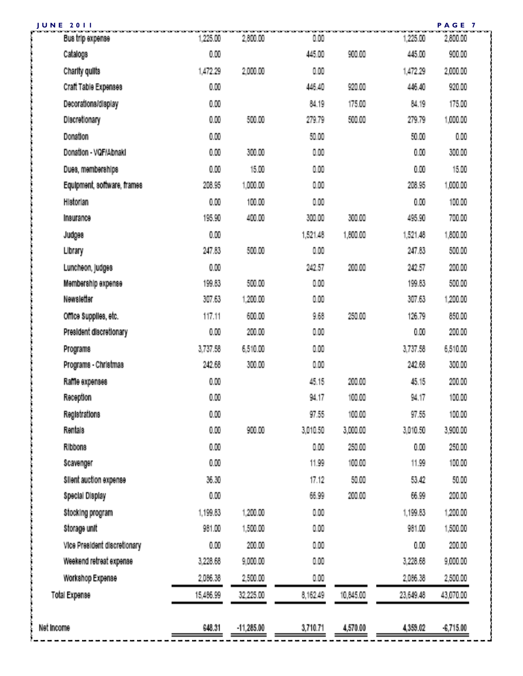| PAGE 7<br><b>JUNE 2011</b>   |           |              |          |           |           |           |  |
|------------------------------|-----------|--------------|----------|-----------|-----------|-----------|--|
| Bus trip expense             | 1,225.00  | 2,800.00     | 0.00     |           | 1,225.00  | 2,800.00  |  |
| Catalogs                     | 0.00      |              | 445.00   | 900.00    | 445.00    | 900.00    |  |
| Charity quilts               | 1,472.29  | 2,000.00     | 0.00     |           | 1,472.29  | 2,000.00  |  |
| Craft Table Expenses         | 0.00      |              | 446.40   | 920.00    | 446.40    | 920.00    |  |
| Decorations/display          | 0.00      |              | 84.19    | 175.00    | 84.19     | 175.00    |  |
| Discretionary                | 0.00      | 500.00       | 279.79   | 500.00    | 279.79    | 1,000.00  |  |
| <b>Donation</b>              | 0.00      |              | 50.00    |           | 50.00     | 0.00      |  |
| Donation - VQF/Abnaki        | 0.00      | 300.00       | 0.00     |           | 0.00      | 300.00    |  |
| Dues, memberships            | 0.00      | 15,00        | 0.00     |           | 0.00      | 15.00     |  |
| Equipment, software, frames  | 208.95    | 1,000.00     | 0.00     |           | 208.95    | 1,000.00  |  |
| Historian                    | 0.00      | 100.00       | 0.00     |           | 0.00      | 100.00    |  |
| Insurance                    | 195.90    | 400.00       | 300.00   | 300.00    | 495.90    | 700.00    |  |
| <b>Judges</b>                | 0.00      |              | 1,521.48 | 1,800.00  | 1,521.48  | 1,800.00  |  |
| Library                      | 247.63    | 500.00       | 0.00     |           | 247.63    | 500.00    |  |
| Luncheon, judges             | 0.00      |              | 242.57   | 200.00    | 242.57    | 200.00    |  |
| Membership expense           | 199.83    | 500.00       | 0.00     |           | 199.83    | 500.00    |  |
| <b>Newsletter</b>            | 307.63    | 1,200.00     | 0.00     |           | 307.63    | 1,200.00  |  |
| Office Supplies, etc.        | 117.11    | 600.00       | 9.68     | 250.00    | 126.79    | 850.00    |  |
| President discretionary      | 0.00      | 200.00       | 0.00     |           | 0.00      | 200.00    |  |
| Programs                     | 3,737.58  | 6,510.00     | 0.00     |           | 3,737.58  | 6,510.00  |  |
| Programs - Christmas         | 242.68    | 300.00       | 0.00     |           | 242.68    | 300.00    |  |
| Raffle expenses              | 0.00      |              | 45.15    | 200.00    | 45.15     | 200.00    |  |
| Reception                    | 0.00      |              | 94.17    | 100.00    | 94.17     | 100.00    |  |
| Registrations                | 0.00      |              | 97.55    | 100.00    | 97.55     | 100.00    |  |
| <b>Rentals</b>               | 0.00      | 900.00       | 3,010.50 | 3,000.00  | 3,010.50  | 3,900.00  |  |
| <b>Ribbons</b>               | 0.00      |              | 0.00     | 250.00    | 0.00      | 250.00    |  |
| Scavenger                    | 0.00      |              | 11.99    | 100.00    | 11.99     | 100.00    |  |
| Silent auction expense       | 36.30     |              | 17.12    | 50.00     | 53.42     | 50.00     |  |
| Special Display              | 0.00      |              | 66.99    | 200.00    | 66.99     | 200.00    |  |
| Stocking program             | 1,199.83  | 1,200.00     | 0.00     |           | 1,199.63  | 1,200.00  |  |
| Storage unit                 | 961.00    | 1,500.00     | 0.00     |           | 961.00    | 1,500.00  |  |
| Vice President discretionary | 0.00      | 200.00       | 0.00     |           | 0.00      | 200.00    |  |
| Weekend retreat expense      | 3,228.68  | 9,000.00     | 0.00     |           | 3,228.68  | 9,000.00  |  |
| Workshop Expense             | 2,066.38  | 2,500.00     | 0.00     |           | 2,066.38  | 2,500.00  |  |
| <b>Total Expense</b>         | 15,486.99 | 32,225.00    | 8,162.49 | 10,645.00 | 23,649.48 | 43,070.00 |  |
|                              |           |              |          |           |           |           |  |
| Net income                   | 648.31    | $-11,285.00$ | 3,710.71 | 4,570.00  | 4,353.02  | 6,715.00  |  |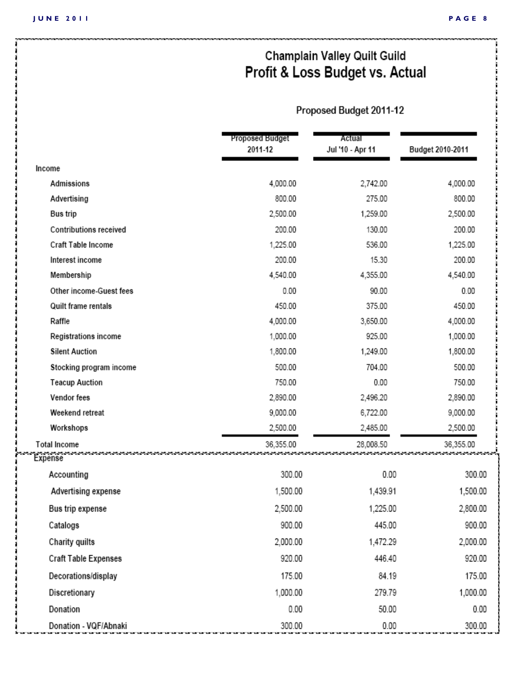# Champlain Valley Quilt Guild Profit & Loss Budget vs. Actual

## Proposed Budget 2011-12

|                                | Proposed Budget<br>2011-12 | Actual<br>Jul '10 - Apr 11 | Budget 2010-2011 |
|--------------------------------|----------------------------|----------------------------|------------------|
| Income                         |                            |                            |                  |
| Admissions                     | 4,000.00                   | 2,742.00                   | 4,000.00         |
| Advertising                    | 800.00                     | 275.00                     | 800.00           |
| <b>Bus</b> trip                | 2,500.00                   | 1,259.00                   | 2,500.00         |
| <b>Contributions received</b>  | 200.00                     | 130.00                     | 200.00           |
| Craft Table Income             | 1,225.00                   | 536.00                     | 1,225.00         |
| Interest income                | 200.00                     | 15.30                      | 200.00           |
| Membership                     | 4,540.00                   | 4,355.00                   | 4,540.00         |
| Other income-Guest fees        | 0.00                       | 90.00                      | 0.00             |
| Quilt frame rentals            | 450.00                     | 375.00                     | 450.00           |
| Raffle                         | 4,000.00                   | 3,650.00                   | 4,000.00         |
| Registrations income           | 1,000.00                   | 925.00                     | 1,000.00         |
| <b>Silent Auction</b>          | 1,800.00                   | 1,249.00                   | 1,800.00         |
| Stocking program income        | 500.00                     | 704.00                     | 500.00           |
| <b>Teacup Auction</b>          | 750.00                     | 0.00                       | 750.00           |
| Vendor fees                    | 2,890.00                   | 2,496.20                   | 2,890.00         |
| Weekend retreat                | 9,000.00                   | 6,722.00                   | 9,000.00         |
| Workshops                      | 2,500.00                   | 2,485.00                   | 2,500.00         |
| <b>Total Income</b><br>Expense | 36,355.00                  | 28,008.50                  | 36,355.00        |
| Accounting                     | 300.00                     | 0.00                       | 300.00           |
| Advertising expense            | 1,500.00                   | 1,439.91                   | 1,500.00         |
| Bus trip expense               | 2,500.00                   | 1,225.00                   | 2,800.00         |
| Catalogs                       | 900.00                     | 445.00                     | 900.00           |
| Charity quilts                 | 2,000.00                   | 1,472.29                   | 2,000.00         |
| <b>Craft Table Expenses</b>    | 920.00                     | 446.40                     | 920.00           |
| Decorations/display            | 175.00                     | 84.19                      | 175.00           |
| Discretionary                  | 1,000.00                   | 279.79                     | 1,000.00         |
| Donation                       | 0.00                       | 50.00                      | 0.00             |
| Donation - VQF/Abnaki          | 300.00                     | 0.00                       | 300.00           |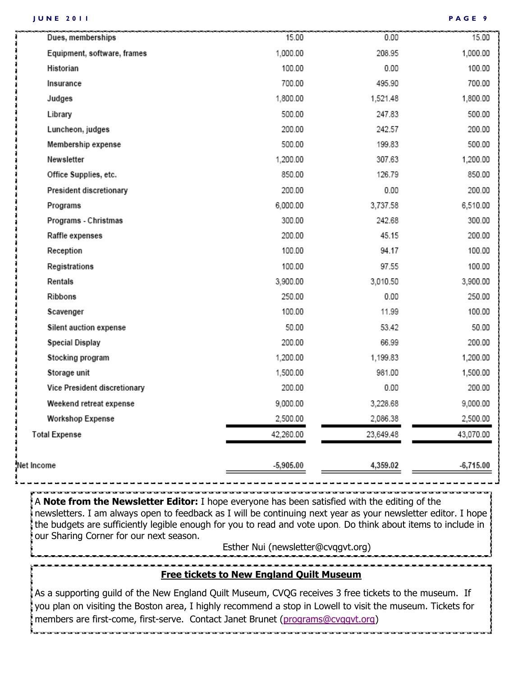۵N

|                      | Dues, memberships            | 15.00       | 0.00      | 15.00       |
|----------------------|------------------------------|-------------|-----------|-------------|
|                      | Equipment, software, frames  | 1,000.00    | 208.95    | 1,000.00    |
| Historian            |                              | 100.00      | 0.00      | 100.00      |
| Insurance            |                              | 700.00      | 495.90    | 700.00      |
| Judges               |                              | 1,800.00    | 1,521.48  | 1,800.00    |
| Library              |                              | 500.00      | 247.83    | 500.00      |
|                      | Luncheon, judges             | 200.00      | 242.57    | 200.00      |
|                      | Membership expense           | 500.00      | 199.83    | 500.00      |
| Newsletter           |                              | 1,200.00    | 307.63    | 1,200.00    |
|                      | Office Supplies, etc.        | 850.00      | 126.79    | 850.00      |
|                      | President discretionary      | 200.00      | 0.00      | 200.00      |
| Programs             |                              | 6,000.00    | 3,737.58  | 6,510.00    |
|                      | Programs - Christmas         | 300.00      | 242.68    | 300.00      |
|                      | Raffle expenses              | 200.00      | 45.15     | 200.00      |
| Reception            |                              | 100.00      | 94.17     | 100.00      |
|                      | Registrations                | 100.00      | 97.55     | 100.00      |
| Rentals              |                              | 3,900.00    | 3,010.50  | 3,900.00    |
| Ribbons              |                              | 250.00      | 0.00      | 250.00      |
| Scavenger            |                              | 100.00      | 11.99     | 100.00      |
|                      | Silent auction expense       | 50.00       | 53.42     | 50.00       |
|                      | <b>Special Display</b>       | 200.00      | 66.99     | 200.00      |
|                      | Stocking program             | 1,200.00    | 1,199.83  | 1,200.00    |
|                      | Storage unit                 | 1,500.00    | 981.00    | 1,500.00    |
|                      | Vice President discretionary | 200.00      | 0.00      | 200.00      |
|                      | Weekend retreat expense      | 9,000.00    | 3,228.68  | 9,000.00    |
|                      | <b>Workshop Expense</b>      | 2,500.00    | 2,086.38  | 2,500.00    |
| <b>Total Expense</b> |                              | 42,260.00   | 23,649.48 | 43,070.00   |
| et Income            |                              | $-5,905.00$ | 4,359.02  | $-6,715.00$ |
|                      |                              |             |           |             |

A **Note from the Newsletter Editor:** I hope everyone has been satisfied with the editing of the newsletters. I am always open to feedback as I will be continuing next year as your newsletter editor. I hope the budgets are sufficiently legible enough for you to read and vote upon. Do think about items to include in our Sharing Corner for our next season.

Esther Nui (newsletter@cvqgvt.org)

### **Free tickets to New England Quilt Museum**

As a supporting guild of the New England Quilt Museum, CVQG receives 3 free tickets to the museum. If you plan on visiting the Boston area, I highly recommend a stop in Lowell to visit the museum. Tickets for members are first-come, first-serve. Contact Janet Brunet ([programs@cvqgvt.org\)](mailto:programs@cvqgvt.org)